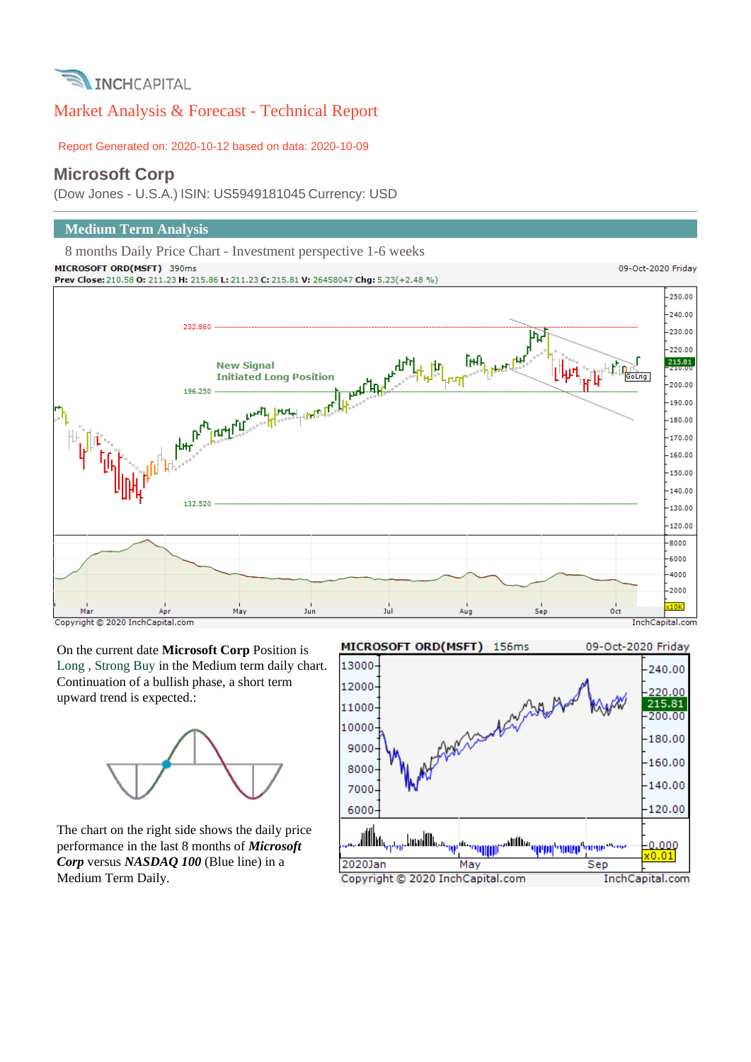

# Market Analysis & Forecast - Technical Report

Report Generated on: 2020-10-12 based on data: 2020-10-09

## **Microsoft Corp**

(Dow Jones - U.S.A.) ISIN: US5949181045 Currency: USD

## **Medium Term Analysis**

8 months Daily Price Chart - Investment perspective 1-6 weeks MICROSOFT ORD(MSFT) 390ms



On the current date **Microsoft Corp** Position is Long , Strong Buy in the Medium term daily chart. Continuation of a bullish phase, a short term upward trend is expected.:



The chart on the right side shows the daily price performance in the last 8 months of *Microsoft Corp* versus *NASDAQ 100* (Blue line) in a Medium Term Daily.

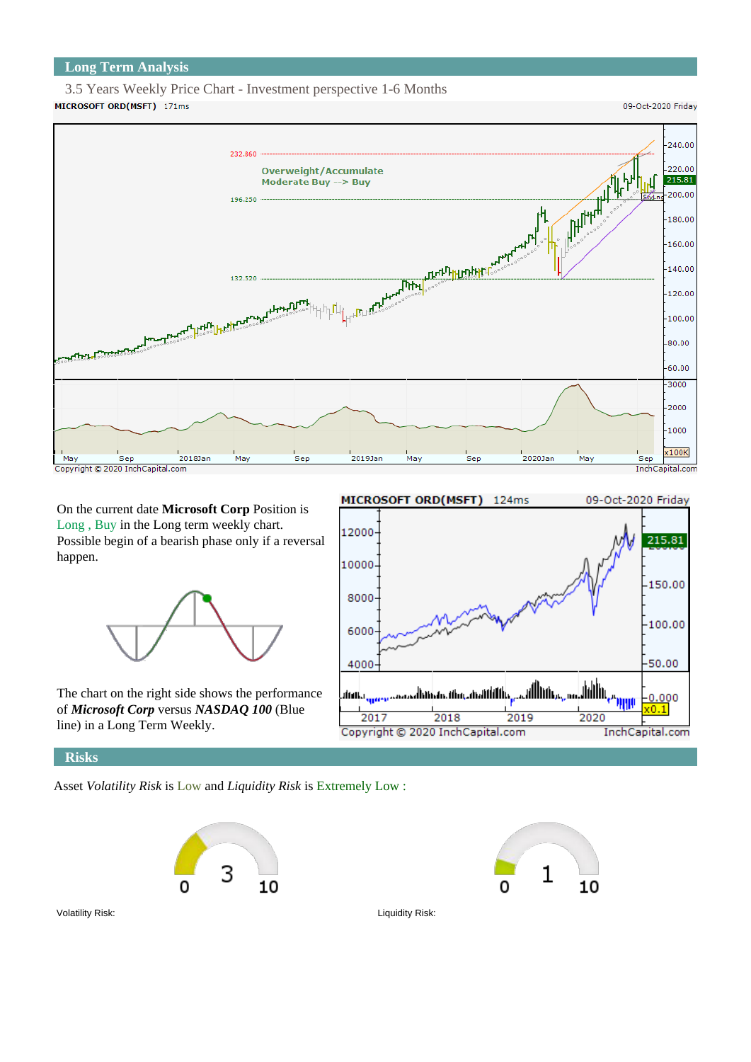## **Long Term Analysis**

#### 3.5 Years Weekly Price Chart - Investment perspective 1-6 Months MICROSOFT ORD(MSFT) 171ms

09-Oct-2020 Friday



On the current date **Microsoft Corp** Position is Long , Buy in the Long term weekly chart. Possible begin of a bearish phase only if a reversal happen.



The chart on the right side shows the performance of *Microsoft Corp* versus *NASDAQ 100* (Blue line) in a Long Term Weekly.



**Risks**

Asset *Volatility Risk* is Low and *Liquidity Risk* is Extremely Low :





Volatility Risk: Liquidity Risk: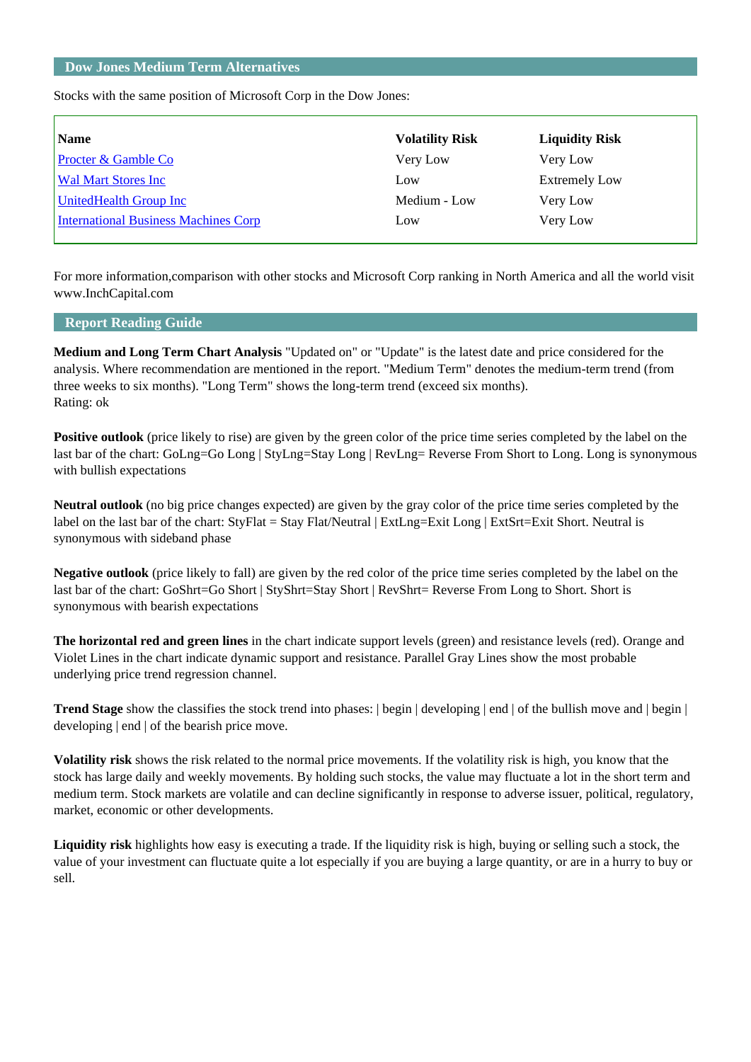## **Dow Jones Medium Term Alternatives**

Stocks with the same position of Microsoft Corp in the Dow Jones:

| Name                                        | <b>Volatility Risk</b> | <b>Liquidity Risk</b> |
|---------------------------------------------|------------------------|-----------------------|
| <b>Procter &amp; Gamble Co</b>              | Very Low               | Very Low              |
| <b>Wal Mart Stores Inc.</b>                 | Low                    | <b>Extremely Low</b>  |
| UnitedHealth Group Inc                      | Medium - Low           | Very Low              |
| <b>International Business Machines Corp</b> | Low                    | Very Low              |
|                                             |                        |                       |

For more information,comparison with other stocks and Microsoft Corp ranking in North America and all the world visit www.InchCapital.com

## **Report Reading Guide**

**Medium and Long Term Chart Analysis** "Updated on" or "Update" is the latest date and price considered for the analysis. Where recommendation are mentioned in the report. "Medium Term" denotes the medium-term trend (from three weeks to six months). "Long Term" shows the long-term trend (exceed six months). Rating: ok

**Positive outlook** (price likely to rise) are given by the green color of the price time series completed by the label on the last bar of the chart: GoLng=Go Long | StyLng=Stay Long | RevLng= Reverse From Short to Long. Long is synonymous with bullish expectations

**Neutral outlook** (no big price changes expected) are given by the gray color of the price time series completed by the label on the last bar of the chart: StyFlat = Stay Flat/Neutral | ExtLng=Exit Long | ExtSrt=Exit Short. Neutral is synonymous with sideband phase

**Negative outlook** (price likely to fall) are given by the red color of the price time series completed by the label on the last bar of the chart: GoShrt=Go Short | StyShrt=Stay Short | RevShrt= Reverse From Long to Short. Short is synonymous with bearish expectations

**The horizontal red and green lines** in the chart indicate support levels (green) and resistance levels (red). Orange and Violet Lines in the chart indicate dynamic support and resistance. Parallel Gray Lines show the most probable underlying price trend regression channel.

**Trend Stage** show the classifies the stock trend into phases: | begin | developing | end | of the bullish move and | begin | developing | end | of the bearish price move.

**Volatility risk** shows the risk related to the normal price movements. If the volatility risk is high, you know that the stock has large daily and weekly movements. By holding such stocks, the value may fluctuate a lot in the short term and medium term. Stock markets are volatile and can decline significantly in response to adverse issuer, political, regulatory, market, economic or other developments.

**Liquidity risk** highlights how easy is executing a trade. If the liquidity risk is high, buying or selling such a stock, the value of your investment can fluctuate quite a lot especially if you are buying a large quantity, or are in a hurry to buy or sell.